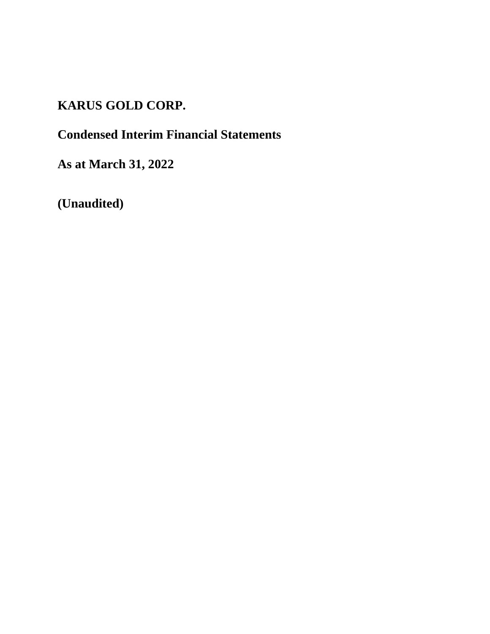# **KARUS GOLD CORP.**

# **Condensed Interim Financial Statements**

**As at March 31, 2022**

**(Unaudited)**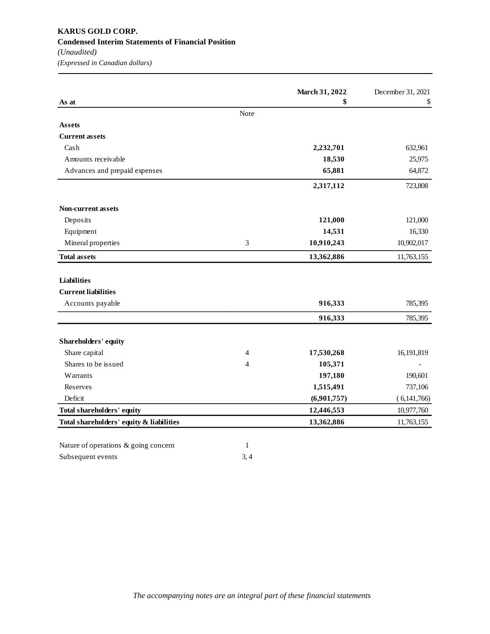|                               |      | March 31, 2022 | December 31, 2021 |
|-------------------------------|------|----------------|-------------------|
| As at                         | Note | \$             | \$                |
| <b>Assets</b>                 |      |                |                   |
| <b>Current assets</b>         |      |                |                   |
| Cash                          |      | 2,232,701      | 632,961           |
| Amounts receivable            |      | 18,530         | 25,975            |
| Advances and prepaid expenses |      | 65,881         | 64,872            |
|                               |      | 2,317,112      | 723,808           |
| <b>Non-current assets</b>     |      |                |                   |
| Deposits                      |      | 121,000        | 121,000           |
| Equipment                     |      | 14,531         | 16,330            |
| Mineral properties            | 3    | 10,910,243     | 10,902,017        |
| <b>Total assets</b>           |      | 13,362,886     | 11,763,155        |
| <b>Liabilities</b>            |      |                |                   |
| <b>Current liabilities</b>    |      |                |                   |
| Accounts payable              |      | 916,333        | 785,395           |
|                               |      | 916,333        | 785,395           |
| Shareholders' equity          |      |                |                   |
| Share capital                 | 4    | 17,530,268     | 16,191,819        |
| Shares to be issued           | 4    | 105,371        |                   |
| Warrants                      |      | 197,180        | 190,601           |
| Reserves                      |      | 1,515,491      | 737,106           |
|                               |      |                |                   |
| Deficit                       |      | (6,901,757)    | (6,141,766)       |
| Total shareholders' equity    |      | 12,446,553     | 10,977,760        |

Subsequent events 3, 4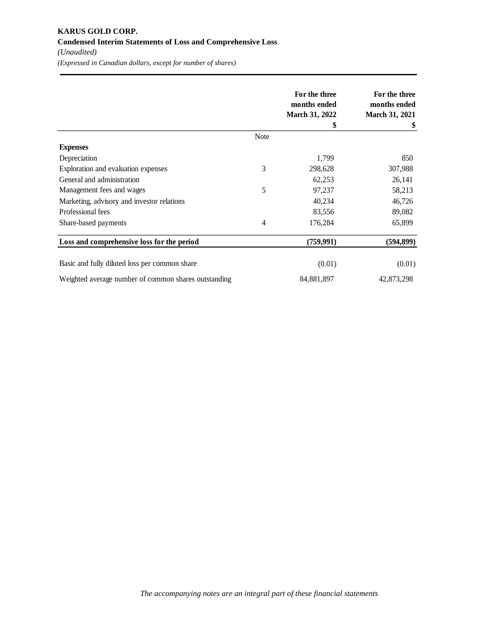|                                                      |                | For the three<br>months ended<br><b>March 31, 2022</b> | For the three<br>months ended<br><b>March 31, 2021</b> |
|------------------------------------------------------|----------------|--------------------------------------------------------|--------------------------------------------------------|
|                                                      |                | \$                                                     | \$                                                     |
|                                                      | <b>Note</b>    |                                                        |                                                        |
| <b>Expenses</b>                                      |                |                                                        |                                                        |
| Depreciation                                         |                | 1,799                                                  | 850                                                    |
| Exploration and evaluation expenses                  | 3              | 298,628                                                | 307,988                                                |
| General and administration                           |                | 62,253                                                 | 26,141                                                 |
| Management fees and wages                            | 5              | 97,237                                                 | 58,213                                                 |
| Marketing, advisory and investor relations           |                | 40,234                                                 | 46,726                                                 |
| Professional fees                                    |                | 83,556                                                 | 89,082                                                 |
| Share-based payments                                 | $\overline{4}$ | 176,284                                                | 65,899                                                 |
| Loss and comprehensive loss for the period           |                | (759, 991)                                             | (594, 899)                                             |
| Basic and fully diluted loss per common share        |                | (0.01)                                                 | (0.01)                                                 |
|                                                      |                |                                                        |                                                        |
| Weighted average number of common shares outstanding |                | 84,881,897                                             | 42,873,298                                             |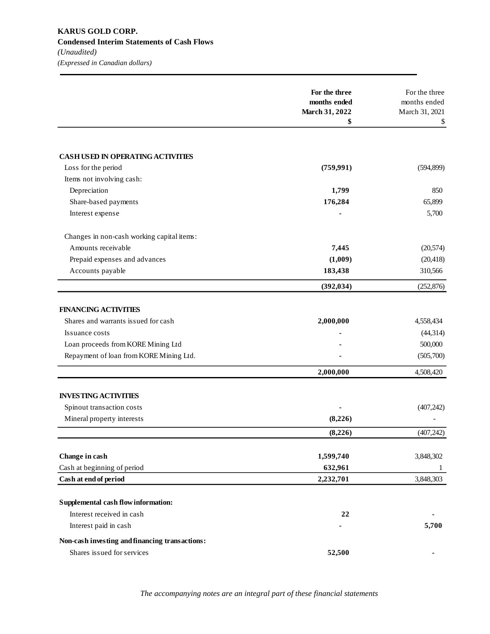|                                                | For the three<br>months ended | For the three<br>months ended |
|------------------------------------------------|-------------------------------|-------------------------------|
|                                                | March 31, 2022<br>\$          | March 31, 2021<br>\$          |
|                                                |                               |                               |
| <b>CASH USED IN OPERATING ACTIVITIES</b>       |                               |                               |
| Loss for the period                            | (759,991)                     | (594, 899)                    |
| Items not involving cash:                      |                               |                               |
| Depreciation                                   | 1,799                         | 850                           |
| Share-based payments                           | 176,284                       | 65,899                        |
| Interest expense                               |                               | 5,700                         |
| Changes in non-cash working capital items:     |                               |                               |
| Amounts receivable                             | 7,445                         | (20, 574)                     |
| Prepaid expenses and advances                  | (1,009)                       | (20, 418)                     |
| Accounts payable                               | 183,438                       | 310,566                       |
|                                                | (392, 034)                    | (252, 876)                    |
| <b>FINANCING ACTIVITIES</b>                    |                               |                               |
| Shares and warrants issued for cash            | 2,000,000                     | 4,558,434                     |
| Issuance costs                                 |                               | (44, 314)                     |
| Loan proceeds from KORE Mining Ltd             |                               | 500,000                       |
| Repayment of loan from KORE Mining Ltd.        |                               | (505,700)                     |
|                                                | 2,000,000                     | 4,508,420                     |
| <b>INVESTING ACTIVITIES</b>                    |                               |                               |
| Spinout transaction costs                      |                               | (407, 242)                    |
| Mineral property interests                     | (8,226)                       |                               |
|                                                | (8,226)                       | (407, 242)                    |
|                                                |                               |                               |
| Change in cash                                 | 1,599,740                     | 3,848,302                     |
| Cash at beginning of period                    | 632,961                       | 1                             |
| Cash at end of period                          | 2,232,701                     | 3,848,303                     |
| Supplemental cash flow information:            |                               |                               |
| Interest received in cash                      | 22                            |                               |
| Interest paid in cash                          |                               | 5,700                         |
| Non-cash investing and financing transactions: |                               |                               |
| Shares issued for services                     | 52,500                        |                               |

*The accompanying notes are an integral part of these financial statements*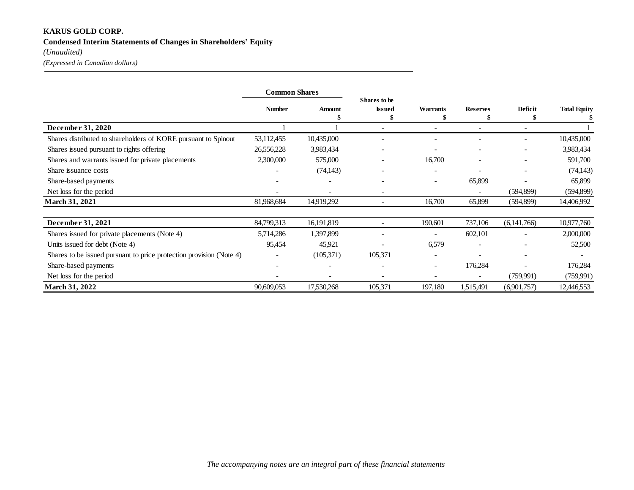## **KARUS GOLD CORP. Condensed Interim Statements of Changes in Shareholders' Equity**

*(Unaudited)*

*(Expressed in Canadian dollars)*

|                                                                     | <b>Common Shares</b> |            |                                     |                              |                          |                          |                     |
|---------------------------------------------------------------------|----------------------|------------|-------------------------------------|------------------------------|--------------------------|--------------------------|---------------------|
|                                                                     | <b>Number</b>        | Amount     | Shares to be<br><b>Issued</b><br>\$ | Warrants                     | <b>Reserves</b>          | Deficit<br>S             | <b>Total Equity</b> |
| December 31, 2020                                                   |                      |            |                                     |                              |                          | $\overline{\phantom{a}}$ |                     |
| Shares distributed to shareholders of KORE pursuant to Spinout      | 53,112,455           | 10,435,000 |                                     |                              |                          |                          | 10,435,000          |
| Shares issued pursuant to rights offering                           | 26,556,228           | 3,983,434  |                                     |                              | $\overline{\phantom{a}}$ | $\overline{\phantom{a}}$ | 3,983,434           |
| Shares and warrants issued for private placements                   | 2,300,000            | 575,000    |                                     | 16,700                       |                          | $\overline{\phantom{a}}$ | 591,700             |
| Share issuance costs                                                |                      | (74, 143)  |                                     |                              |                          |                          | (74, 143)           |
| Share-based payments                                                |                      |            |                                     | $\overline{\phantom{a}}$     | 65,899                   |                          | 65,899              |
| Net loss for the period                                             |                      |            |                                     |                              |                          | (594,899)                | (594, 899)          |
| <b>March 31, 2021</b>                                               | 81,968,684           | 14,919,292 | $\overline{\phantom{a}}$            | 16,700                       | 65,899                   | (594,899)                | 14,406,992          |
| December 31, 2021                                                   | 84,799,313           | 16,191,819 |                                     | 190,601                      | 737,106                  | (6,141,766)              | 10,977,760          |
| Shares issued for private placements (Note 4)                       | 5,714,286            | 1,397,899  |                                     |                              | 602,101                  |                          | 2,000,000           |
| Units issued for debt (Note 4)                                      | 95,454               | 45,921     |                                     | 6,579                        |                          |                          | 52,500              |
| Shares to be issued pursuant to price protection provision (Note 4) |                      | (105,371)  | 105,371                             |                              |                          |                          |                     |
| Share-based payments                                                |                      |            |                                     | $\qquad \qquad \blacksquare$ | 176,284                  |                          | 176,284             |
| Net loss for the period                                             |                      |            |                                     |                              |                          | (759,991)                | (759,991)           |
| <b>March 31, 2022</b>                                               | 90,609,053           | 17,530,268 | 105,371                             | 197,180                      | 1,515,491                | (6,901,757)              | 12,446,553          |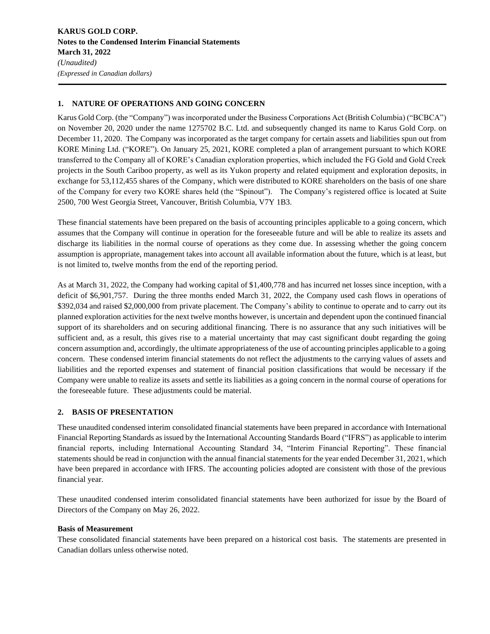## **1. NATURE OF OPERATIONS AND GOING CONCERN**

Karus Gold Corp. (the "Company") was incorporated under the Business Corporations Act (British Columbia) ("BCBCA") on November 20, 2020 under the name 1275702 B.C. Ltd. and subsequently changed its name to Karus Gold Corp. on December 11, 2020. The Company was incorporated as the target company for certain assets and liabilities spun out from KORE Mining Ltd. ("KORE"). On January 25, 2021, KORE completed a plan of arrangement pursuant to which KORE transferred to the Company all of KORE's Canadian exploration properties, which included the FG Gold and Gold Creek projects in the South Cariboo property, as well as its Yukon property and related equipment and exploration deposits, in exchange for 53,112,455 shares of the Company, which were distributed to KORE shareholders on the basis of one share of the Company for every two KORE shares held (the "Spinout"). The Company's registered office is located at Suite 2500, 700 West Georgia Street, Vancouver, British Columbia, V7Y 1B3.

These financial statements have been prepared on the basis of accounting principles applicable to a going concern, which assumes that the Company will continue in operation for the foreseeable future and will be able to realize its assets and discharge its liabilities in the normal course of operations as they come due. In assessing whether the going concern assumption is appropriate, management takes into account all available information about the future, which is at least, but is not limited to, twelve months from the end of the reporting period.

As at March 31, 2022, the Company had working capital of \$1,400,778 and has incurred net losses since inception, with a deficit of \$6,901,757. During the three months ended March 31, 2022, the Company used cash flows in operations of \$392,034 and raised \$2,000,000 from private placement. The Company's ability to continue to operate and to carry out its planned exploration activities for the next twelve months however, is uncertain and dependent upon the continued financial support of its shareholders and on securing additional financing. There is no assurance that any such initiatives will be sufficient and, as a result, this gives rise to a material uncertainty that may cast significant doubt regarding the going concern assumption and, accordingly, the ultimate appropriateness of the use of accounting principles applicable to a going concern. These condensed interim financial statements do not reflect the adjustments to the carrying values of assets and liabilities and the reported expenses and statement of financial position classifications that would be necessary if the Company were unable to realize its assets and settle its liabilities as a going concern in the normal course of operations for the foreseeable future. These adjustments could be material.

## **2. BASIS OF PRESENTATION**

These unaudited condensed interim consolidated financial statements have been prepared in accordance with International Financial Reporting Standards as issued by the International Accounting Standards Board ("IFRS") as applicable to interim financial reports, including International Accounting Standard 34, "Interim Financial Reporting". These financial statements should be read in conjunction with the annual financial statements for the year ended December 31, 2021, which have been prepared in accordance with IFRS. The accounting policies adopted are consistent with those of the previous financial year.

These unaudited condensed interim consolidated financial statements have been authorized for issue by the Board of Directors of the Company on May 26, 2022.

#### **Basis of Measurement**

These consolidated financial statements have been prepared on a historical cost basis. The statements are presented in Canadian dollars unless otherwise noted.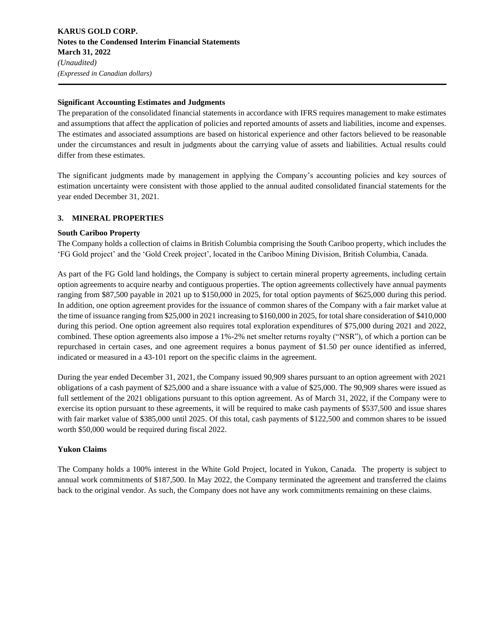#### **Significant Accounting Estimates and Judgments**

The preparation of the consolidated financial statements in accordance with IFRS requires management to make estimates and assumptions that affect the application of policies and reported amounts of assets and liabilities, income and expenses. The estimates and associated assumptions are based on historical experience and other factors believed to be reasonable under the circumstances and result in judgments about the carrying value of assets and liabilities. Actual results could differ from these estimates.

The significant judgments made by management in applying the Company's accounting policies and key sources of estimation uncertainty were consistent with those applied to the annual audited consolidated financial statements for the year ended December 31, 2021.

## **3. MINERAL PROPERTIES**

#### **South Cariboo Property**

The Company holds a collection of claims in British Columbia comprising the South Cariboo property, which includes the 'FG Gold project' and the 'Gold Creek project', located in the Cariboo Mining Division, British Columbia, Canada.

As part of the FG Gold land holdings, the Company is subject to certain mineral property agreements, including certain option agreements to acquire nearby and contiguous properties. The option agreements collectively have annual payments ranging from \$87,500 payable in 2021 up to \$150,000 in 2025, for total option payments of \$625,000 during this period. In addition, one option agreement provides for the issuance of common shares of the Company with a fair market value at the time of issuance ranging from \$25,000 in 2021 increasing to \$160,000 in 2025, for total share consideration of \$410,000 during this period. One option agreement also requires total exploration expenditures of \$75,000 during 2021 and 2022, combined. These option agreements also impose a 1%-2% net smelter returns royalty ("NSR"), of which a portion can be repurchased in certain cases, and one agreement requires a bonus payment of \$1.50 per ounce identified as inferred, indicated or measured in a 43-101 report on the specific claims in the agreement.

During the year ended December 31, 2021, the Company issued 90,909 shares pursuant to an option agreement with 2021 obligations of a cash payment of \$25,000 and a share issuance with a value of \$25,000. The 90,909 shares were issued as full settlement of the 2021 obligations pursuant to this option agreement. As of March 31, 2022, if the Company were to exercise its option pursuant to these agreements, it will be required to make cash payments of \$537,500 and issue shares with fair market value of \$385,000 until 2025. Of this total, cash payments of \$122,500 and common shares to be issued worth \$50,000 would be required during fiscal 2022.

## **Yukon Claims**

The Company holds a 100% interest in the White Gold Project, located in Yukon, Canada. The property is subject to annual work commitments of \$187,500. In May 2022, the Company terminated the agreement and transferred the claims back to the original vendor. As such, the Company does not have any work commitments remaining on these claims.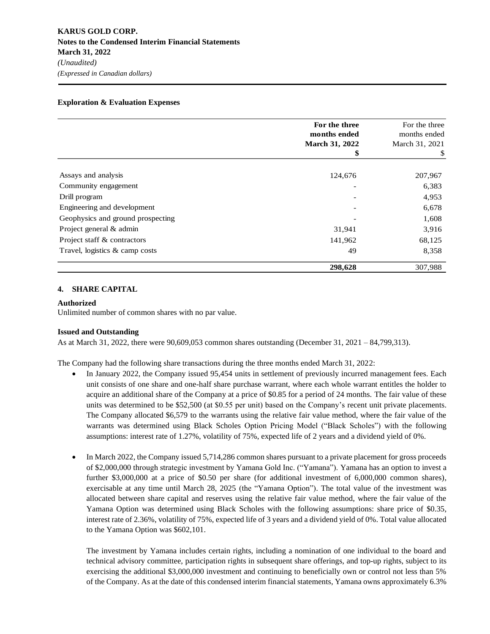#### **Exploration & Evaluation Expenses**

|                                                                                                                                                                                                                                                                                                                                                                                                                                                                                                                                                                                                                                                                                                                                                                                                                                                                                                                       | For the three<br>months ended<br>March 31, 2022 | For the three<br>months ended<br>March 31, 2021 |
|-----------------------------------------------------------------------------------------------------------------------------------------------------------------------------------------------------------------------------------------------------------------------------------------------------------------------------------------------------------------------------------------------------------------------------------------------------------------------------------------------------------------------------------------------------------------------------------------------------------------------------------------------------------------------------------------------------------------------------------------------------------------------------------------------------------------------------------------------------------------------------------------------------------------------|-------------------------------------------------|-------------------------------------------------|
|                                                                                                                                                                                                                                                                                                                                                                                                                                                                                                                                                                                                                                                                                                                                                                                                                                                                                                                       | \$                                              | \$                                              |
|                                                                                                                                                                                                                                                                                                                                                                                                                                                                                                                                                                                                                                                                                                                                                                                                                                                                                                                       |                                                 |                                                 |
| Assays and analysis                                                                                                                                                                                                                                                                                                                                                                                                                                                                                                                                                                                                                                                                                                                                                                                                                                                                                                   | 124,676                                         | 207,967                                         |
| Community engagement                                                                                                                                                                                                                                                                                                                                                                                                                                                                                                                                                                                                                                                                                                                                                                                                                                                                                                  |                                                 | 6,383                                           |
| Drill program                                                                                                                                                                                                                                                                                                                                                                                                                                                                                                                                                                                                                                                                                                                                                                                                                                                                                                         |                                                 | 4,953                                           |
| Engineering and development                                                                                                                                                                                                                                                                                                                                                                                                                                                                                                                                                                                                                                                                                                                                                                                                                                                                                           |                                                 | 6,678                                           |
| Geophysics and ground prospecting                                                                                                                                                                                                                                                                                                                                                                                                                                                                                                                                                                                                                                                                                                                                                                                                                                                                                     |                                                 | 1,608                                           |
| Project general & admin                                                                                                                                                                                                                                                                                                                                                                                                                                                                                                                                                                                                                                                                                                                                                                                                                                                                                               | 31,941                                          | 3,916                                           |
| Project staff & contractors                                                                                                                                                                                                                                                                                                                                                                                                                                                                                                                                                                                                                                                                                                                                                                                                                                                                                           | 141,962                                         | 68,125                                          |
| Travel, logistics & camp costs                                                                                                                                                                                                                                                                                                                                                                                                                                                                                                                                                                                                                                                                                                                                                                                                                                                                                        | 49                                              | 8,358                                           |
|                                                                                                                                                                                                                                                                                                                                                                                                                                                                                                                                                                                                                                                                                                                                                                                                                                                                                                                       | 298,628                                         | 307,988                                         |
| <b>SHARE CAPITAL</b><br>4.                                                                                                                                                                                                                                                                                                                                                                                                                                                                                                                                                                                                                                                                                                                                                                                                                                                                                            |                                                 |                                                 |
| <b>Authorized</b><br>Unlimited number of common shares with no par value.                                                                                                                                                                                                                                                                                                                                                                                                                                                                                                                                                                                                                                                                                                                                                                                                                                             |                                                 |                                                 |
| <b>Issued and Outstanding</b><br>As at March 31, 2022, there were $90,609,053$ common shares outstanding (December 31, 2021 – 84,799,313).                                                                                                                                                                                                                                                                                                                                                                                                                                                                                                                                                                                                                                                                                                                                                                            |                                                 |                                                 |
| The Company had the following share transactions during the three months ended March 31, 2022:<br>In January 2022, the Company issued 95,454 units in settlement of previously incurred management fees. Each<br>unit consists of one share and one-half share purchase warrant, where each whole warrant entitles the holder to<br>acquire an additional share of the Company at a price of \$0.85 for a period of 24 months. The fair value of these<br>units was determined to be \$52,500 (at \$0.55 per unit) based on the Company's recent unit private placements.<br>The Company allocated \$6,579 to the warrants using the relative fair value method, where the fair value of the<br>warrants was determined using Black Scholes Option Pricing Model ("Black Scholes") with the following<br>assumptions: interest rate of 1.27%, volatility of 75%, expected life of 2 years and a dividend yield of 0%. |                                                 |                                                 |
| In March 2022, the Company issued 5,714,286 common shares pursuant to a private placement for gross proceeds<br>of \$2,000,000 through strategic investment by Yamana Gold Inc. ("Yamana"). Yamana has an option to invest a<br>further \$3,000,000 at a price of \$0.50 per share (for additional investment of 6,000,000 common shares),<br>exercisable at any time until March 28, 2025 (the "Yamana Option"). The total value of the investment was<br>allocated between share capital and reserves using the relative fair value method, where the fair value of the<br>Yamana Option was determined using Black Scholes with the following assumptions: share price of \$0.35,<br>interest rate of 2.36%, volatility of 75%, expected life of 3 years and a dividend yield of 0%. Total value allocated<br>to the Yamana Option was \$602,101.                                                                  |                                                 |                                                 |
| The investment by Yamana includes certain rights, including a nomination of one individual to the board and<br>technical advisory committee, participation rights in subsequent share offerings, and top-up rights, subject to its<br>exercising the additional \$3,000,000 investment and continuing to beneficially own or control not less than 5%<br>of the Company. As at the date of this condensed interim financial statements, Yamana owns approximately 6.3%                                                                                                                                                                                                                                                                                                                                                                                                                                                |                                                 |                                                 |

#### **4. SHARE CAPITAL**

#### **Authorized**

#### **Issued and Outstanding**

- In January 2022, the Company issued 95,454 units in settlement of previously incurred management fees. Each unit consists of one share and one-half share purchase warrant, where each whole warrant entitles the holder to acquire an additional share of the Company at a price of \$0.85 for a period of 24 months. The fair value of these units was determined to be \$52,500 (at \$0.55 per unit) based on the Company's recent unit private placements. The Company allocated \$6,579 to the warrants using the relative fair value method, where the fair value of the warrants was determined using Black Scholes Option Pricing Model ("Black Scholes") with the following assumptions: interest rate of 1.27%, volatility of 75%, expected life of 2 years and a dividend yield of 0%.
- In March 2022, the Company issued 5,714,286 common shares pursuant to a private placement for gross proceeds of \$2,000,000 through strategic investment by Yamana Gold Inc. ("Yamana"). Yamana has an option to invest a further \$3,000,000 at a price of \$0.50 per share (for additional investment of 6,000,000 common shares), exercisable at any time until March 28, 2025 (the "Yamana Option"). The total value of the investment was allocated between share capital and reserves using the relative fair value method, where the fair value of the Yamana Option was determined using Black Scholes with the following assumptions: share price of \$0.35, interest rate of 2.36%, volatility of 75%, expected life of 3 years and a dividend yield of 0%. Total value allocated to the Yamana Option was \$602,101.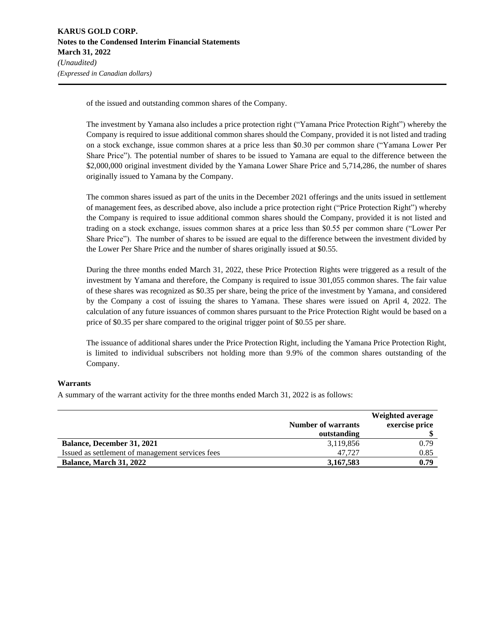of the issued and outstanding common shares of the Company.

The investment by Yamana also includes a price protection right ("Yamana Price Protection Right") whereby the Company is required to issue additional common shares should the Company, provided it is not listed and trading on a stock exchange, issue common shares at a price less than \$0.30 per common share ("Yamana Lower Per Share Price"). The potential number of shares to be issued to Yamana are equal to the difference between the \$2,000,000 original investment divided by the Yamana Lower Share Price and 5,714,286, the number of shares originally issued to Yamana by the Company.

The common shares issued as part of the units in the December 2021 offerings and the units issued in settlement of management fees, as described above, also include a price protection right ("Price Protection Right") whereby the Company is required to issue additional common shares should the Company, provided it is not listed and trading on a stock exchange, issues common shares at a price less than \$0.55 per common share ("Lower Per Share Price"). The number of shares to be issued are equal to the difference between the investment divided by the Lower Per Share Price and the number of shares originally issued at \$0.55.

During the three months ended March 31, 2022, these Price Protection Rights were triggered as a result of the investment by Yamana and therefore, the Company is required to issue 301,055 common shares. The fair value of these shares was recognized as \$0.35 per share, being the price of the investment by Yamana, and considered by the Company a cost of issuing the shares to Yamana. These shares were issued on April 4, 2022. The calculation of any future issuances of common shares pursuant to the Price Protection Right would be based on a price of \$0.35 per share compared to the original trigger point of \$0.55 per share.

The issuance of additional shares under the Price Protection Right, including the Yamana Price Protection Right, is limited to individual subscribers not holding more than 9.9% of the common shares outstanding of the Company.

#### **Warrants**

A summary of the warrant activity for the three months ended March 31, 2022 is as follows:

|                                                  | <b>Number of warrants</b><br>outstanding | Weighted average<br>exercise price |
|--------------------------------------------------|------------------------------------------|------------------------------------|
| <b>Balance, December 31, 2021</b>                | 3,119,856                                | 0.79                               |
| Issued as settlement of management services fees | 47.727                                   | 0.85                               |
| <b>Balance, March 31, 2022</b>                   | 3,167,583                                | 0.79                               |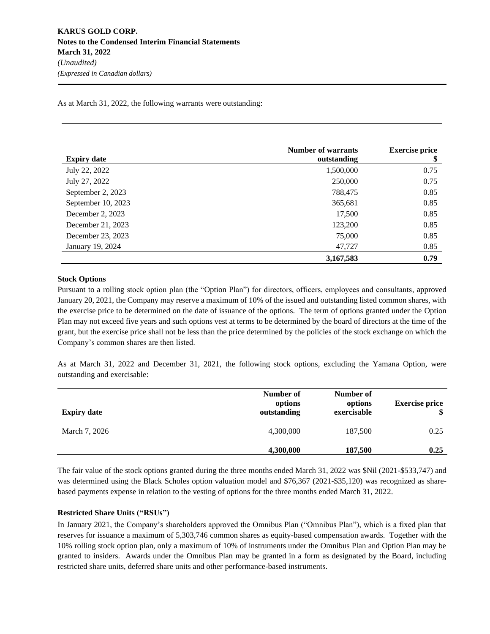As at March 31, 2022, the following warrants were outstanding:

| <b>Expiry date</b> | <b>Number of warrants</b><br>outstanding | <b>Exercise price</b><br>\$ |
|--------------------|------------------------------------------|-----------------------------|
| July 22, 2022      | 1,500,000                                | 0.75                        |
| July 27, 2022      | 250,000                                  | 0.75                        |
| September 2, 2023  | 788,475                                  | 0.85                        |
| September 10, 2023 | 365,681                                  | 0.85                        |
| December 2, 2023   | 17,500                                   | 0.85                        |
| December 21, 2023  | 123,200                                  | 0.85                        |
| December 23, 2023  | 75,000                                   | 0.85                        |
| January 19, 2024   | 47,727                                   | 0.85                        |
|                    | 3,167,583                                | 0.79                        |

#### **Stock Options**

Pursuant to a rolling stock option plan (the "Option Plan") for directors, officers, employees and consultants, approved January 20, 2021, the Company may reserve a maximum of 10% of the issued and outstanding listed common shares, with the exercise price to be determined on the date of issuance of the options. The term of options granted under the Option Plan may not exceed five years and such options vest at terms to be determined by the board of directors at the time of the grant, but the exercise price shall not be less than the price determined by the policies of the stock exchange on which the Company's common shares are then listed.

As at March 31, 2022 and December 31, 2021, the following stock options, excluding the Yamana Option, were outstanding and exercisable:

| <b>Expiry date</b> | Number of<br>options<br>outstanding | Number of<br>options<br>exercisable | <b>Exercise price</b> |
|--------------------|-------------------------------------|-------------------------------------|-----------------------|
| March 7, 2026      | 4,300,000                           | 187,500                             | 0.25                  |
|                    | 4,300,000                           | 187,500                             | 0.25                  |

The fair value of the stock options granted during the three months ended March 31, 2022 was \$Nil (2021-\$533,747) and was determined using the Black Scholes option valuation model and \$76,367 (2021-\$35,120) was recognized as sharebased payments expense in relation to the vesting of options for the three months ended March 31, 2022.

## **Restricted Share Units ("RSUs")**

In January 2021, the Company's shareholders approved the Omnibus Plan ("Omnibus Plan"), which is a fixed plan that reserves for issuance a maximum of 5,303,746 common shares as equity-based compensation awards. Together with the 10% rolling stock option plan, only a maximum of 10% of instruments under the Omnibus Plan and Option Plan may be granted to insiders. Awards under the Omnibus Plan may be granted in a form as designated by the Board, including restricted share units, deferred share units and other performance-based instruments.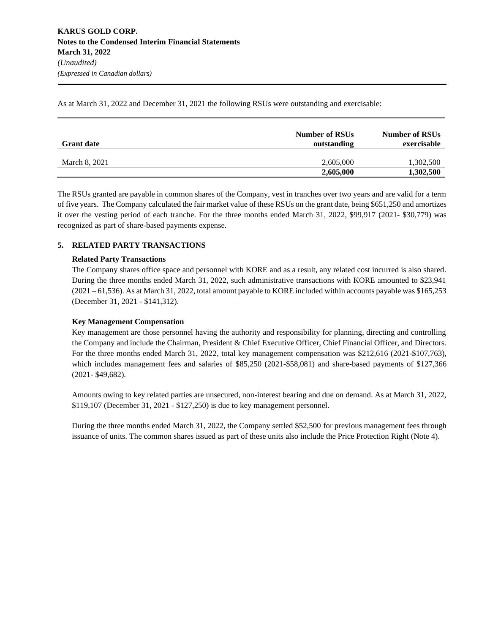As at March 31, 2022 and December 31, 2021 the following RSUs were outstanding and exercisable:

| <b>Grant date</b> | <b>Number of RSUs</b><br>outstanding | <b>Number of RSUs</b><br>exercisable |
|-------------------|--------------------------------------|--------------------------------------|
| March 8, 2021     | 2.605,000                            | 1,302,500                            |
|                   | 2,605,000                            | 1,302,500                            |

The RSUs granted are payable in common shares of the Company, vest in tranches over two years and are valid for a term of five years. The Company calculated the fair market value of these RSUs on the grant date, being \$651,250 and amortizes it over the vesting period of each tranche. For the three months ended March 31, 2022, \$99,917 (2021- \$30,779) was recognized as part of share-based payments expense.

## **5. RELATED PARTY TRANSACTIONS**

## **Related Party Transactions**

The Company shares office space and personnel with KORE and as a result, any related cost incurred is also shared. During the three months ended March 31, 2022, such administrative transactions with KORE amounted to \$23,941 (2021 – 61,536). As at March 31, 2022, total amount payable to KORE included within accounts payable was \$165,253 (December 31, 2021 - \$141,312).

## **Key Management Compensation**

Key management are those personnel having the authority and responsibility for planning, directing and controlling the Company and include the Chairman, President & Chief Executive Officer, Chief Financial Officer, and Directors. For the three months ended March 31, 2022, total key management compensation was \$212,616 (2021-\$107,763), which includes management fees and salaries of \$85,250 (2021-\$58,081) and share-based payments of \$127,366 (2021- \$49,682).

Amounts owing to key related parties are unsecured, non-interest bearing and due on demand. As at March 31, 2022, \$119,107 (December 31, 2021 - \$127,250) is due to key management personnel.

During the three months ended March 31, 2022, the Company settled \$52,500 for previous management fees through issuance of units. The common shares issued as part of these units also include the Price Protection Right (Note 4).